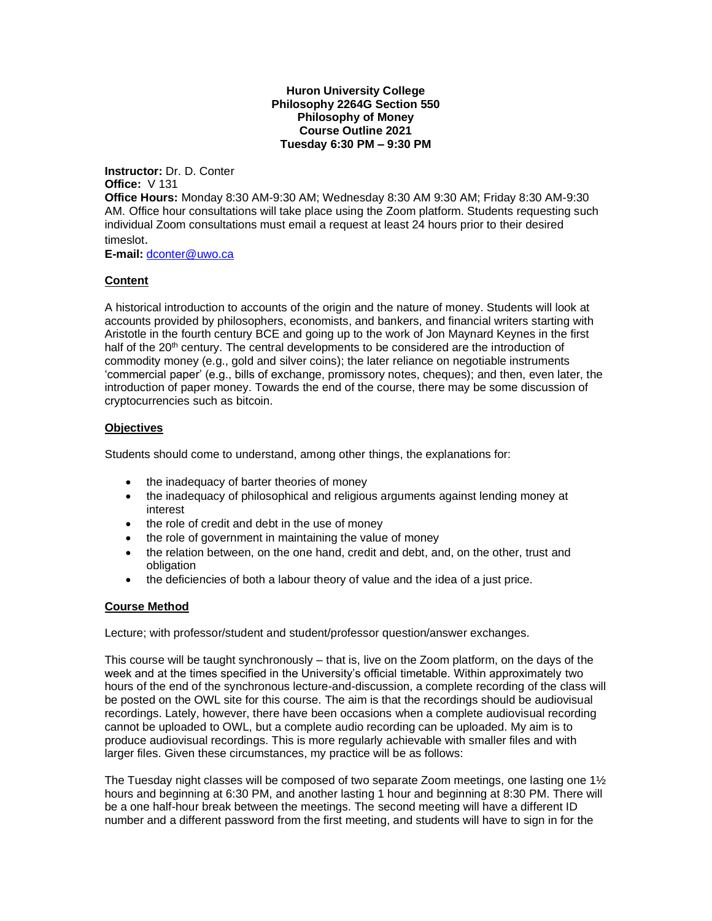**Huron University College Philosophy 2264G Section 550 Philosophy of Money Course Outline 2021 Tuesday 6:30 PM – 9:30 PM**

**Instructor:** Dr. D. Conter **Office:** V 131

**Office Hours:** Monday 8:30 AM-9:30 AM; Wednesday 8:30 AM 9:30 AM; Friday 8:30 AM-9:30 AM. Office hour consultations will take place using the Zoom platform. Students requesting such individual Zoom consultations must email a request at least 24 hours prior to their desired timeslot.

**E-mail:** [dconter@uwo.ca](mailto:dconter@uwo.ca)

### **Content**

A historical introduction to accounts of the origin and the nature of money. Students will look at accounts provided by philosophers, economists, and bankers, and financial writers starting with Aristotle in the fourth century BCE and going up to the work of Jon Maynard Keynes in the first half of the 20<sup>th</sup> century. The central developments to be considered are the introduction of commodity money (e.g., gold and silver coins); the later reliance on negotiable instruments 'commercial paper' (e.g., bills of exchange, promissory notes, cheques); and then, even later, the introduction of paper money. Towards the end of the course, there may be some discussion of cryptocurrencies such as bitcoin.

### **Objectives**

Students should come to understand, among other things, the explanations for:

- the inadequacy of barter theories of money
- the inadequacy of philosophical and religious arguments against lending money at interest
- the role of credit and debt in the use of money
- the role of government in maintaining the value of money
- the relation between, on the one hand, credit and debt, and, on the other, trust and obligation
- the deficiencies of both a labour theory of value and the idea of a just price.

#### **Course Method**

Lecture; with professor/student and student/professor question/answer exchanges.

This course will be taught synchronously – that is, live on the Zoom platform, on the days of the week and at the times specified in the University's official timetable. Within approximately two hours of the end of the synchronous lecture-and-discussion, a complete recording of the class will be posted on the OWL site for this course. The aim is that the recordings should be audiovisual recordings. Lately, however, there have been occasions when a complete audiovisual recording cannot be uploaded to OWL, but a complete audio recording can be uploaded. My aim is to produce audiovisual recordings. This is more regularly achievable with smaller files and with larger files. Given these circumstances, my practice will be as follows:

The Tuesday night classes will be composed of two separate Zoom meetings, one lasting one  $1\frac{1}{2}$ hours and beginning at 6:30 PM, and another lasting 1 hour and beginning at 8:30 PM. There will be a one half-hour break between the meetings. The second meeting will have a different ID number and a different password from the first meeting, and students will have to sign in for the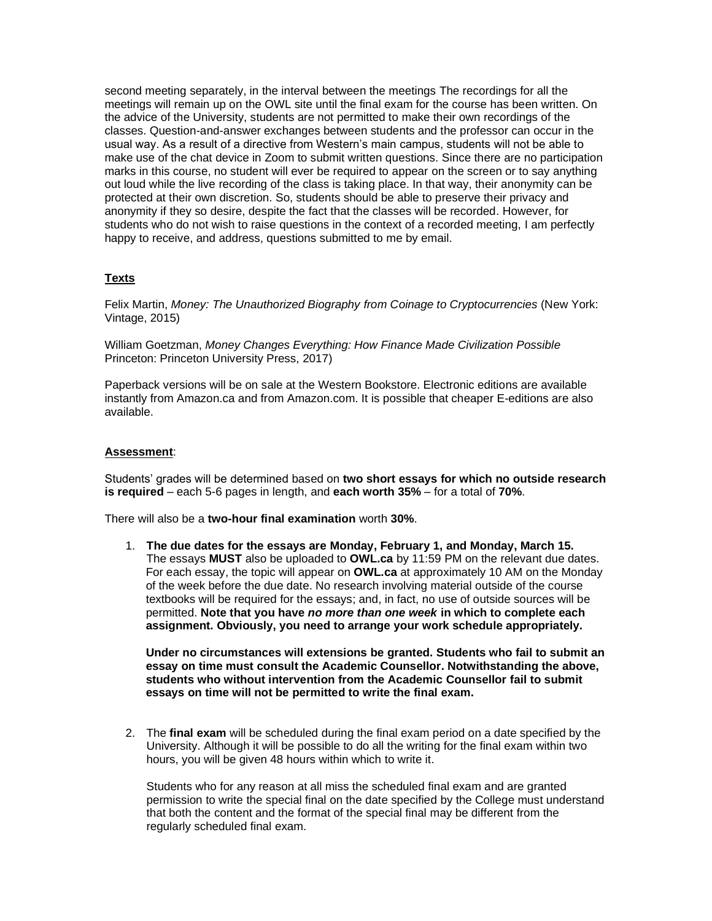second meeting separately, in the interval between the meetings The recordings for all the meetings will remain up on the OWL site until the final exam for the course has been written. On the advice of the University, students are not permitted to make their own recordings of the classes. Question-and-answer exchanges between students and the professor can occur in the usual way. As a result of a directive from Western's main campus, students will not be able to make use of the chat device in Zoom to submit written questions. Since there are no participation marks in this course, no student will ever be required to appear on the screen or to say anything out loud while the live recording of the class is taking place. In that way, their anonymity can be protected at their own discretion. So, students should be able to preserve their privacy and anonymity if they so desire, despite the fact that the classes will be recorded. However, for students who do not wish to raise questions in the context of a recorded meeting, I am perfectly happy to receive, and address, questions submitted to me by email.

## **Texts**

Felix Martin, *Money: The Unauthorized Biography from Coinage to Cryptocurrencies* (New York: Vintage, 2015)

William Goetzman, *Money Changes Everything: How Finance Made Civilization Possible* Princeton: Princeton University Press, 2017)

Paperback versions will be on sale at the Western Bookstore. Electronic editions are available instantly from Amazon.ca and from Amazon.com. It is possible that cheaper E-editions are also available.

### **Assessment**:

Students' grades will be determined based on **two short essays for which no outside research is required** – each 5-6 pages in length, and **each worth 35%** – for a total of **70%**.

There will also be a **two-hour final examination** worth **30%**.

1. **The due dates for the essays are Monday, February 1, and Monday, March 15.**  The essays **MUST** also be uploaded to **OWL.ca** by 11:59 PM on the relevant due dates. For each essay, the topic will appear on **OWL.ca** at approximately 10 AM on the Monday of the week before the due date. No research involving material outside of the course textbooks will be required for the essays; and, in fact, no use of outside sources will be permitted. **Note that you have** *no more than one week* **in which to complete each assignment. Obviously, you need to arrange your work schedule appropriately.**

**Under no circumstances will extensions be granted. Students who fail to submit an essay on time must consult the Academic Counsellor. Notwithstanding the above, students who without intervention from the Academic Counsellor fail to submit essays on time will not be permitted to write the final exam.**

2. The **final exam** will be scheduled during the final exam period on a date specified by the University. Although it will be possible to do all the writing for the final exam within two hours, you will be given 48 hours within which to write it.

Students who for any reason at all miss the scheduled final exam and are granted permission to write the special final on the date specified by the College must understand that both the content and the format of the special final may be different from the regularly scheduled final exam.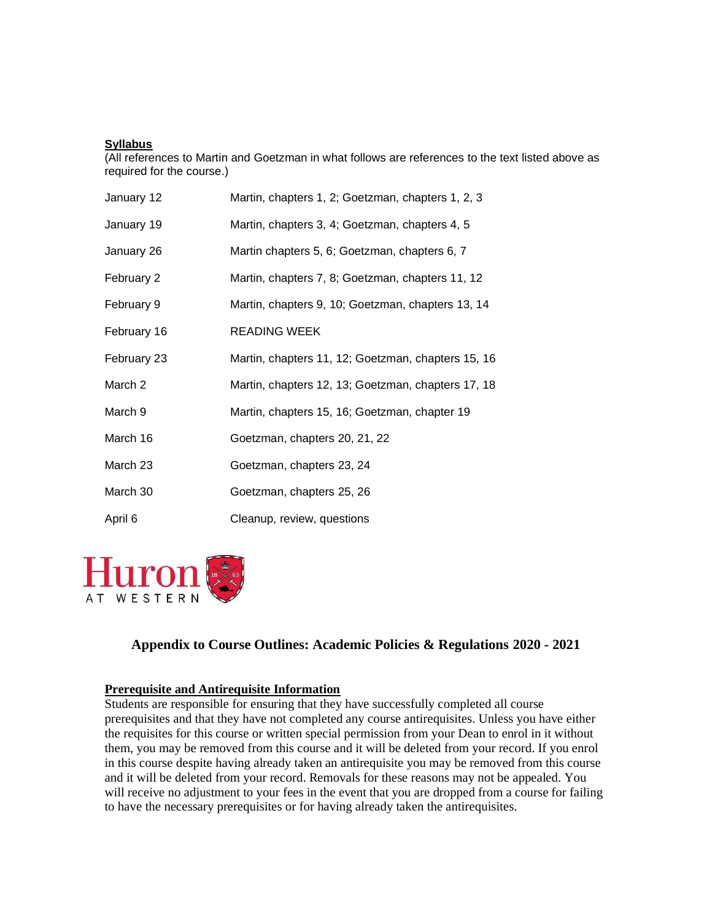## **Syllabus**

(All references to Martin and Goetzman in what follows are references to the text listed above as required for the course.)

| January 12  | Martin, chapters 1, 2; Goetzman, chapters 1, 2, 3  |
|-------------|----------------------------------------------------|
| January 19  | Martin, chapters 3, 4; Goetzman, chapters 4, 5     |
| January 26  | Martin chapters 5, 6; Goetzman, chapters 6, 7      |
| February 2  | Martin, chapters 7, 8; Goetzman, chapters 11, 12   |
| February 9  | Martin, chapters 9, 10; Goetzman, chapters 13, 14  |
| February 16 | READING WEEK                                       |
| February 23 | Martin, chapters 11, 12; Goetzman, chapters 15, 16 |
| March 2     | Martin, chapters 12, 13; Goetzman, chapters 17, 18 |
| March 9     | Martin, chapters 15, 16; Goetzman, chapter 19      |
| March 16    | Goetzman, chapters 20, 21, 22                      |
| March 23    | Goetzman, chapters 23, 24                          |
| March 30    | Goetzman, chapters 25, 26                          |
| April 6     | Cleanup, review, questions                         |



# **Appendix to Course Outlines: Academic Policies & Regulations 2020 - 2021**

## **Prerequisite and Antirequisite Information**

Students are responsible for ensuring that they have successfully completed all course prerequisites and that they have not completed any course antirequisites. Unless you have either the requisites for this course or written special permission from your Dean to enrol in it without them, you may be removed from this course and it will be deleted from your record. If you enrol in this course despite having already taken an antirequisite you may be removed from this course and it will be deleted from your record. Removals for these reasons may not be appealed. You will receive no adjustment to your fees in the event that you are dropped from a course for failing to have the necessary prerequisites or for having already taken the antirequisites.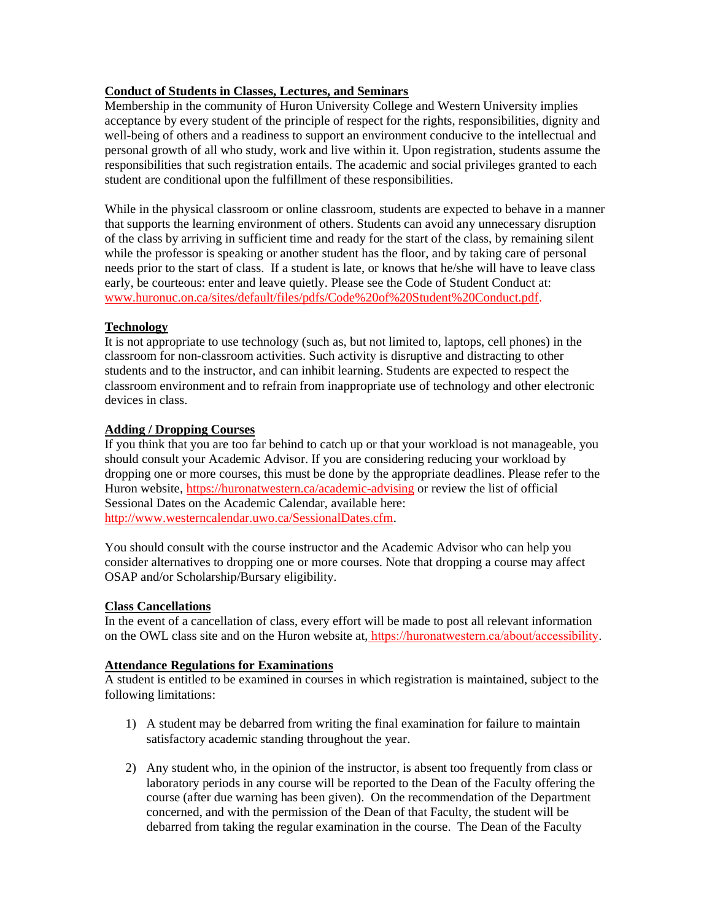## **Conduct of Students in Classes, Lectures, and Seminars**

Membership in the community of Huron University College and Western University implies acceptance by every student of the principle of respect for the rights, responsibilities, dignity and well-being of others and a readiness to support an environment conducive to the intellectual and personal growth of all who study, work and live within it. Upon registration, students assume the responsibilities that such registration entails. The academic and social privileges granted to each student are conditional upon the fulfillment of these responsibilities.

While in the physical classroom or online classroom, students are expected to behave in a manner that supports the learning environment of others. Students can avoid any unnecessary disruption of the class by arriving in sufficient time and ready for the start of the class, by remaining silent while the professor is speaking or another student has the floor, and by taking care of personal needs prior to the start of class. If a student is late, or knows that he/she will have to leave class early, be courteous: enter and leave quietly. Please see the Code of Student Conduct at: [www.huronuc.on.ca/sites/default/files/pdfs/Code%20of%20Student%20Conduct.pdf.](http://www.huronuc.on.ca/sites/default/files/pdfs/Code%20of%20Student%20Conduct.pdf)

## **Technology**

It is not appropriate to use technology (such as, but not limited to, laptops, cell phones) in the classroom for non-classroom activities. Such activity is disruptive and distracting to other students and to the instructor, and can inhibit learning. Students are expected to respect the classroom environment and to refrain from inappropriate use of technology and other electronic devices in class.

## **Adding / Dropping Courses**

If you think that you are too far behind to catch up or that your workload is not manageable, you should consult your Academic Advisor. If you are considering reducing your workload by dropping one or more courses, this must be done by the appropriate deadlines. Please refer to the Huron website, <https://huronatwestern.ca/academic-advising> or review the list of official Sessional Dates on the Academic Calendar, available here: [http://www.westerncalendar.uwo.ca/SessionalDates.cfm.](http://www.westerncalendar.uwo.ca/SessionalDates.cfm)

You should consult with the course instructor and the Academic Advisor who can help you consider alternatives to dropping one or more courses. Note that dropping a course may affect OSAP and/or Scholarship/Bursary eligibility.

## **Class Cancellations**

In the event of a cancellation of class, every effort will be made to post all relevant information on the OWL class site and on the Huron website at, https://huronatwestern.ca/about/accessibility.

## **Attendance Regulations for Examinations**

A student is entitled to be examined in courses in which registration is maintained, subject to the following limitations:

- 1) A student may be debarred from writing the final examination for failure to maintain satisfactory academic standing throughout the year.
- 2) Any student who, in the opinion of the instructor, is absent too frequently from class or laboratory periods in any course will be reported to the Dean of the Faculty offering the course (after due warning has been given). On the recommendation of the Department concerned, and with the permission of the Dean of that Faculty, the student will be debarred from taking the regular examination in the course. The Dean of the Faculty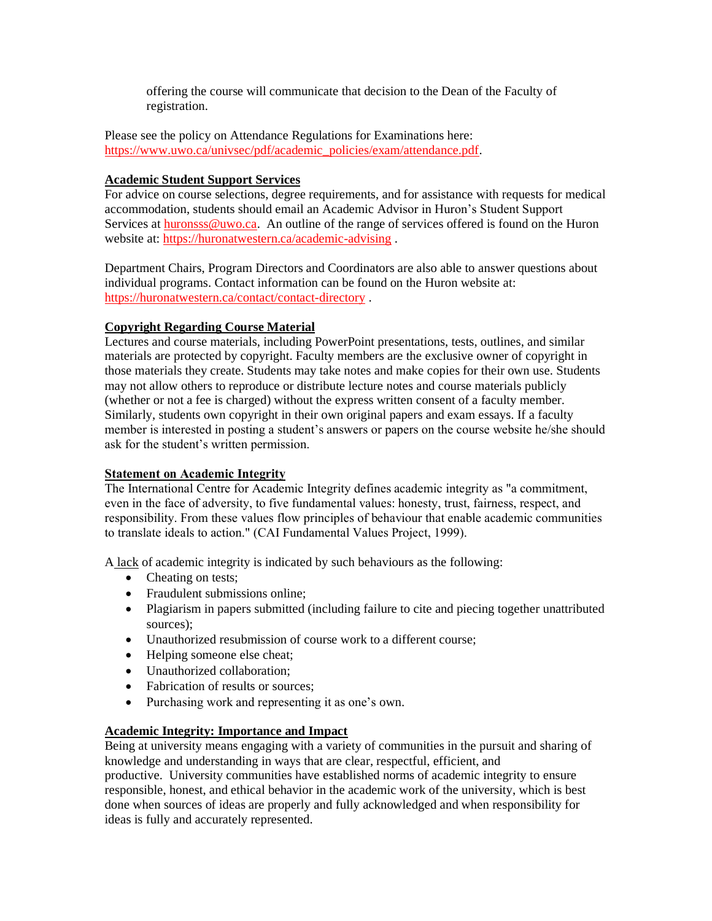offering the course will communicate that decision to the Dean of the Faculty of registration.

Please see the policy on Attendance Regulations for Examinations here: [https://www.uwo.ca/univsec/pdf/academic\\_policies/exam/attendance.pdf.](https://www.uwo.ca/univsec/pdf/academic_policies/exam/attendance.pdf)

## **Academic Student Support Services**

For advice on course selections, degree requirements, and for assistance with requests for medical accommodation, students should email an Academic Advisor in Huron's Student Support Services a[t huronsss@uwo.ca.](mailto:huronsss@uwo.ca) An outline of the range of services offered is found on the Huron website at:<https://huronatwestern.ca/academic-advising> .

Department Chairs, Program Directors and Coordinators are also able to answer questions about individual programs. Contact information can be found on the Huron website at: <https://huronatwestern.ca/contact/contact-directory> .

## **Copyright Regarding Course Material**

Lectures and course materials, including PowerPoint presentations, tests, outlines, and similar materials are protected by copyright. Faculty members are the exclusive owner of copyright in those materials they create. Students may take notes and make copies for their own use. Students may not allow others to reproduce or distribute lecture notes and course materials publicly (whether or not a fee is charged) without the express written consent of a faculty member. Similarly, students own copyright in their own original papers and exam essays. If a faculty member is interested in posting a student's answers or papers on the course website he/she should ask for the student's written permission.

## **Statement on Academic Integrity**

The International Centre for Academic Integrity defines academic integrity as "a commitment, even in the face of adversity, to five fundamental values: honesty, trust, fairness, respect, and responsibility. From these values flow principles of behaviour that enable academic communities to translate ideals to action." (CAI Fundamental Values Project, 1999).

A lack of academic integrity is indicated by such behaviours as the following:

- Cheating on tests:
- Fraudulent submissions online:
- Plagiarism in papers submitted (including failure to cite and piecing together unattributed sources);
- Unauthorized resubmission of course work to a different course;
- Helping someone else cheat;
- Unauthorized collaboration;
- Fabrication of results or sources;
- Purchasing work and representing it as one's own.

## **Academic Integrity: Importance and Impact**

Being at university means engaging with a variety of communities in the pursuit and sharing of knowledge and understanding in ways that are clear, respectful, efficient, and productive. University communities have established norms of academic integrity to ensure responsible, honest, and ethical behavior in the academic work of the university, which is best done when sources of ideas are properly and fully acknowledged and when responsibility for ideas is fully and accurately represented.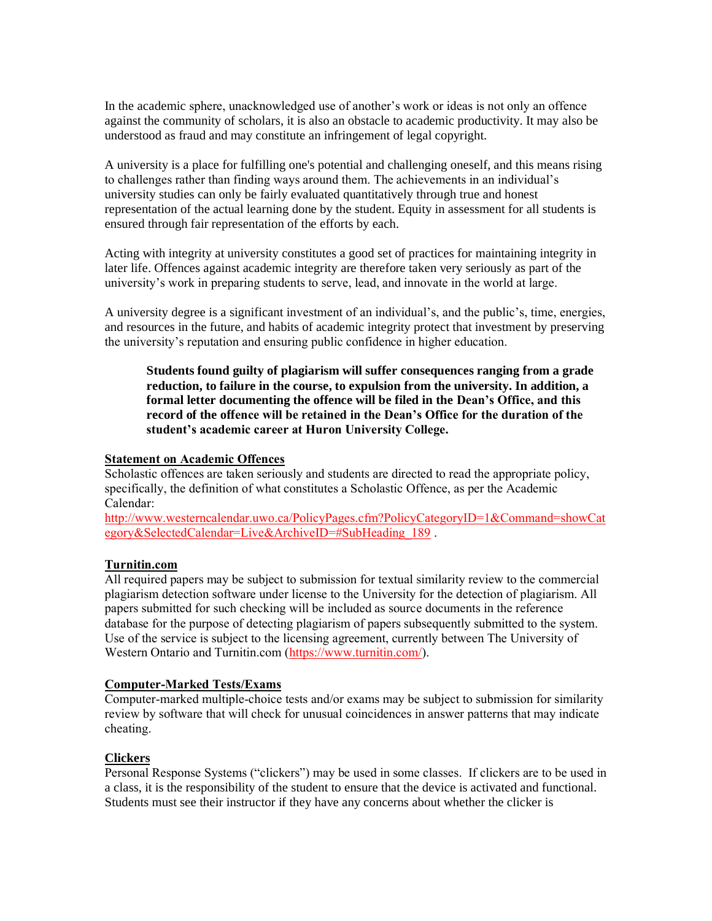In the academic sphere, unacknowledged use of another's work or ideas is not only an offence against the community of scholars, it is also an obstacle to academic productivity. It may also be understood as fraud and may constitute an infringement of legal copyright.

A university is a place for fulfilling one's potential and challenging oneself, and this means rising to challenges rather than finding ways around them. The achievements in an individual's university studies can only be fairly evaluated quantitatively through true and honest representation of the actual learning done by the student. Equity in assessment for all students is ensured through fair representation of the efforts by each.

Acting with integrity at university constitutes a good set of practices for maintaining integrity in later life. Offences against academic integrity are therefore taken very seriously as part of the university's work in preparing students to serve, lead, and innovate in the world at large.

A university degree is a significant investment of an individual's, and the public's, time, energies, and resources in the future, and habits of academic integrity protect that investment by preserving the university's reputation and ensuring public confidence in higher education.

**Students found guilty of plagiarism will suffer consequences ranging from a grade reduction, to failure in the course, to expulsion from the university. In addition, a formal letter documenting the offence will be filed in the Dean's Office, and this record of the offence will be retained in the Dean's Office for the duration of the student's academic career at Huron University College.**

### **Statement on Academic Offences**

Scholastic offences are taken seriously and students are directed to read the appropriate policy, specifically, the definition of what constitutes a Scholastic Offence, as per the Academic Calendar:

[http://www.westerncalendar.uwo.ca/PolicyPages.cfm?PolicyCategoryID=1&Command=showCat](http://www.westerncalendar.uwo.ca/PolicyPages.cfm?PolicyCategoryID=1&Command=showCategory&SelectedCalendar=Live&ArchiveID=#SubHeading_189) [egory&SelectedCalendar=Live&ArchiveID=#SubHeading\\_189](http://www.westerncalendar.uwo.ca/PolicyPages.cfm?PolicyCategoryID=1&Command=showCategory&SelectedCalendar=Live&ArchiveID=#SubHeading_189).

#### **Turnitin.com**

All required papers may be subject to submission for textual similarity review to the commercial plagiarism detection software under license to the University for the detection of plagiarism. All papers submitted for such checking will be included as source documents in the reference database for the purpose of detecting plagiarism of papers subsequently submitted to the system. Use of the service is subject to the licensing agreement, currently between The University of Western Ontario and Turnitin.com [\(https://www.turnitin.com/\)](https://www.turnitin.com/).

### **Computer-Marked Tests/Exams**

Computer-marked multiple-choice tests and/or exams may be subject to submission for similarity review by software that will check for unusual coincidences in answer patterns that may indicate cheating.

## **Clickers**

Personal Response Systems ("clickers") may be used in some classes. If clickers are to be used in a class, it is the responsibility of the student to ensure that the device is activated and functional. Students must see their instructor if they have any concerns about whether the clicker is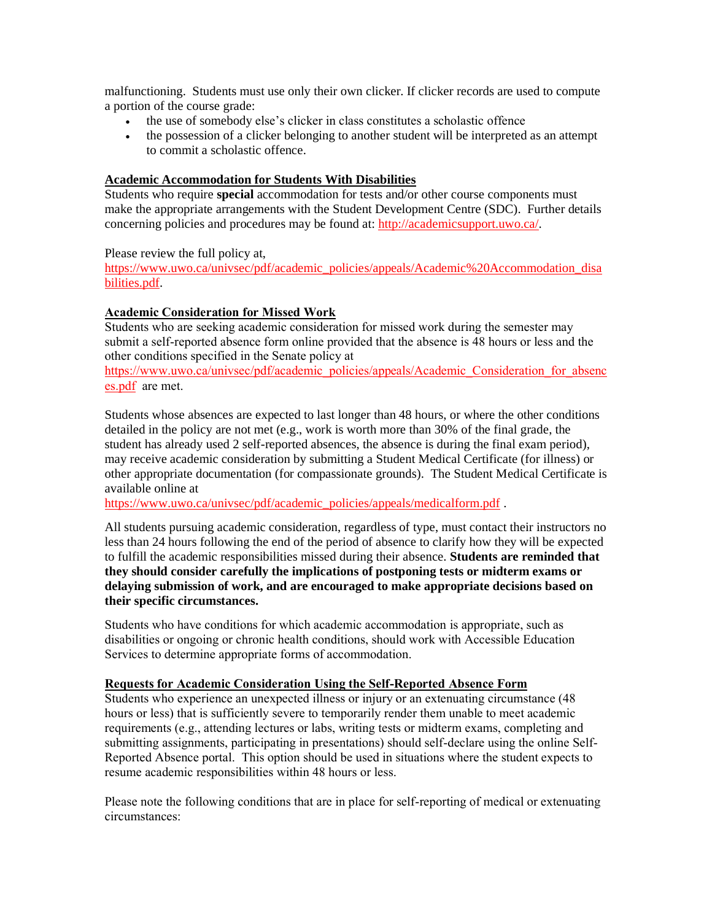malfunctioning. Students must use only their own clicker. If clicker records are used to compute a portion of the course grade:

- the use of somebody else's clicker in class constitutes a scholastic offence
- the possession of a clicker belonging to another student will be interpreted as an attempt to commit a scholastic offence.

#### **Academic Accommodation for Students With Disabilities**

Students who require **special** accommodation for tests and/or other course components must make the appropriate arrangements with the Student Development Centre (SDC). Further details concerning policies and procedures may be found at: [http://academicsupport.uwo.ca/.](http://academicsupport.uwo.ca/)

Please review the full policy at,

[https://www.uwo.ca/univsec/pdf/academic\\_policies/appeals/Academic%20Accommodation\\_disa](https://www.uwo.ca/univsec/pdf/academic_policies/appeals/Academic%20Accommodation_disabilities.pdf) [bilities.pdf.](https://www.uwo.ca/univsec/pdf/academic_policies/appeals/Academic%20Accommodation_disabilities.pdf)

## **Academic Consideration for Missed Work**

Students who are seeking academic consideration for missed work during the semester may submit a self-reported absence form online provided that the absence is 48 hours or less and the other conditions specified in the Senate policy at

[https://www.uwo.ca/univsec/pdf/academic\\_policies/appeals/Academic\\_Consideration\\_for\\_absenc](https://www.uwo.ca/univsec/pdf/academic_policies/appeals/Academic_Consideration_for_absences.pdf) [es.pdf](https://www.uwo.ca/univsec/pdf/academic_policies/appeals/Academic_Consideration_for_absences.pdf) are met.

Students whose absences are expected to last longer than 48 hours, or where the other conditions detailed in the policy are not met (e.g., work is worth more than 30% of the final grade, the student has already used 2 self-reported absences, the absence is during the final exam period), may receive academic consideration by submitting a Student Medical Certificate (for illness) or other appropriate documentation (for compassionate grounds). The Student Medical Certificate is available online at

[https://www.uwo.ca/univsec/pdf/academic\\_policies/appeals/medicalform.pdf](https://www.uwo.ca/univsec/pdf/academic_policies/appeals/medicalform.pdf).

All students pursuing academic consideration, regardless of type, must contact their instructors no less than 24 hours following the end of the period of absence to clarify how they will be expected to fulfill the academic responsibilities missed during their absence. **Students are reminded that they should consider carefully the implications of postponing tests or midterm exams or delaying submission of work, and are encouraged to make appropriate decisions based on their specific circumstances.**

Students who have conditions for which academic accommodation is appropriate, such as disabilities or ongoing or chronic health conditions, should work with Accessible Education Services to determine appropriate forms of accommodation.

#### **Requests for Academic Consideration Using the Self-Reported Absence Form**

Students who experience an unexpected illness or injury or an extenuating circumstance (48 hours or less) that is sufficiently severe to temporarily render them unable to meet academic requirements (e.g., attending lectures or labs, writing tests or midterm exams, completing and submitting assignments, participating in presentations) should self-declare using the online Self-Reported Absence portal. This option should be used in situations where the student expects to resume academic responsibilities within 48 hours or less.

Please note the following conditions that are in place for self-reporting of medical or extenuating circumstances: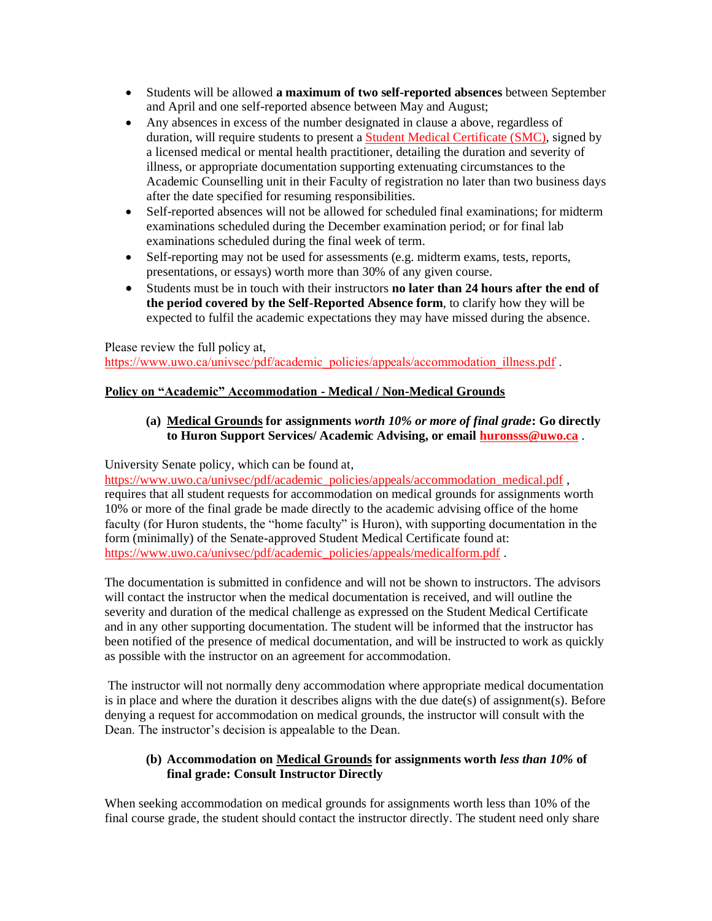- Students will be allowed **a maximum of two self-reported absences** between September and April and one self-reported absence between May and August;
- Any absences in excess of the number designated in clause a above, regardless of duration, will require students to present a [Student Medical Certificate \(SMC\),](https://www.uwo.ca/univsec/pdf/academic_policies/appeals/medicalform.pdf) signed by a licensed medical or mental health practitioner, detailing the duration and severity of illness, or appropriate documentation supporting extenuating circumstances to the Academic Counselling unit in their Faculty of registration no later than two business days after the date specified for resuming responsibilities.
- Self-reported absences will not be allowed for scheduled final examinations; for midterm examinations scheduled during the December examination period; or for final lab examinations scheduled during the final week of term.
- Self-reporting may not be used for assessments (e.g. midterm exams, tests, reports, presentations, or essays) worth more than 30% of any given course.
- Students must be in touch with their instructors **no later than 24 hours after the end of the period covered by the Self-Reported Absence form**, to clarify how they will be expected to fulfil the academic expectations they may have missed during the absence.

## Please review the full policy at, [https://www.uwo.ca/univsec/pdf/academic\\_policies/appeals/accommodation\\_illness.pdf](https://www.uwo.ca/univsec/pdf/academic_policies/appeals/accommodation_illness.pdf) .

# **Policy on "Academic" Accommodation - Medical / Non-Medical Grounds**

## **(a) Medical Grounds for assignments** *worth 10% or more of final grade***: Go directly to Huron Support Services/ Academic Advising, or email [huronsss@uwo.ca](mailto:huronsss@uwo.ca)** .

University Senate policy, which can be found at,

[https://www.uwo.ca/univsec/pdf/academic\\_policies/appeals/accommodation\\_medical.pdf](https://www.uwo.ca/univsec/pdf/academic_policies/appeals/accommodation_medical.pdf), requires that all student requests for accommodation on medical grounds for assignments worth 10% or more of the final grade be made directly to the academic advising office of the home faculty (for Huron students, the "home faculty" is Huron), with supporting documentation in the form (minimally) of the Senate-approved Student Medical Certificate found at: [https://www.uwo.ca/univsec/pdf/academic\\_policies/appeals/medicalform.pdf](https://www.uwo.ca/univsec/pdf/academic_policies/appeals/medicalform.pdf).

The documentation is submitted in confidence and will not be shown to instructors. The advisors will contact the instructor when the medical documentation is received, and will outline the severity and duration of the medical challenge as expressed on the Student Medical Certificate and in any other supporting documentation. The student will be informed that the instructor has been notified of the presence of medical documentation, and will be instructed to work as quickly as possible with the instructor on an agreement for accommodation.

The instructor will not normally deny accommodation where appropriate medical documentation is in place and where the duration it describes aligns with the due date(s) of assignment(s). Before denying a request for accommodation on medical grounds, the instructor will consult with the Dean. The instructor's decision is appealable to the Dean.

# **(b) Accommodation on Medical Grounds for assignments worth** *less than 10%* **of final grade: Consult Instructor Directly**

When seeking accommodation on medical grounds for assignments worth less than 10% of the final course grade, the student should contact the instructor directly. The student need only share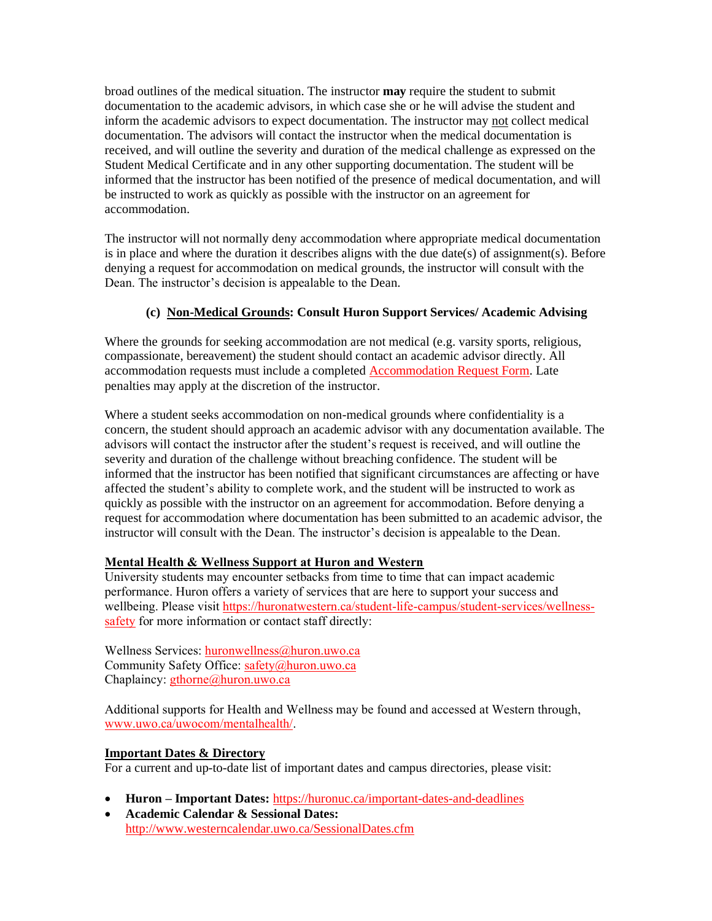broad outlines of the medical situation. The instructor **may** require the student to submit documentation to the academic advisors, in which case she or he will advise the student and inform the academic advisors to expect documentation. The instructor may not collect medical documentation. The advisors will contact the instructor when the medical documentation is received, and will outline the severity and duration of the medical challenge as expressed on the Student Medical Certificate and in any other supporting documentation. The student will be informed that the instructor has been notified of the presence of medical documentation, and will be instructed to work as quickly as possible with the instructor on an agreement for accommodation.

The instructor will not normally deny accommodation where appropriate medical documentation is in place and where the duration it describes aligns with the due date(s) of assignment(s). Before denying a request for accommodation on medical grounds, the instructor will consult with the Dean. The instructor's decision is appealable to the Dean.

# **(c) Non-Medical Grounds: Consult Huron Support Services/ Academic Advising**

Where the grounds for seeking accommodation are not medical (e.g. varsity sports, religious, compassionate, bereavement) the student should contact an academic advisor directly. All accommodation requests must include a completed [Accommodation Request Form.](https://huronatwestern.ca/sites/default/files/pdfs/ACCOMMODATION_REQUEST.pdf) Late penalties may apply at the discretion of the instructor.

Where a student seeks accommodation on non-medical grounds where confidentiality is a concern, the student should approach an academic advisor with any documentation available. The advisors will contact the instructor after the student's request is received, and will outline the severity and duration of the challenge without breaching confidence. The student will be informed that the instructor has been notified that significant circumstances are affecting or have affected the student's ability to complete work, and the student will be instructed to work as quickly as possible with the instructor on an agreement for accommodation. Before denying a request for accommodation where documentation has been submitted to an academic advisor, the instructor will consult with the Dean. The instructor's decision is appealable to the Dean.

## **Mental Health & Wellness Support at Huron and Western**

University students may encounter setbacks from time to time that can impact academic performance. Huron offers a variety of services that are here to support your success and wellbeing. Please visit [https://huronatwestern.ca/student-life-campus/student-services/wellness](https://huronatwestern.ca/student-life-campus/student-services/wellness-safety)[safety](https://huronatwestern.ca/student-life-campus/student-services/wellness-safety) for more information or contact staff directly:

Wellness Services: [huronwellness@huron.uwo.ca](mailto:huronwellness@huron.uwo.ca) Community Safety Office: [safety@huron.uwo.ca](mailto:safety@huron.uwo.ca) Chaplaincy: [gthorne@huron.uwo.ca](mailto:gthorne@huron.uwo.ca)

Additional supports for Health and Wellness may be found and accessed at Western through, [www.uwo.ca/uwocom/mentalhealth/.](http://www.uwo.ca/uwocom/mentalhealth/)

## **Important Dates & Directory**

For a current and up-to-date list of important dates and campus directories, please visit:

- **Huron – Important Dates:** <https://huronuc.ca/important-dates-and-deadlines>
- **Academic Calendar & Sessional Dates:** <http://www.westerncalendar.uwo.ca/SessionalDates.cfm>